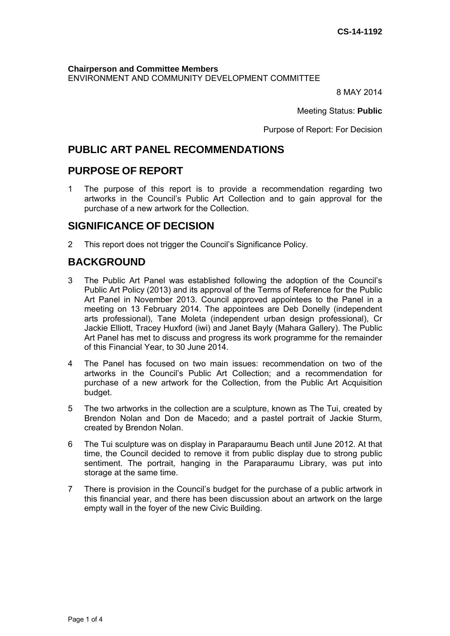**Chairperson and Committee Members**  ENVIRONMENT AND COMMUNITY DEVELOPMENT COMMITTEE

8 MAY 2014

Meeting Status: **Public**

Purpose of Report: For Decision

# **PUBLIC ART PANEL RECOMMENDATIONS**

## **PURPOSE OF REPORT**

1 The purpose of this report is to provide a recommendation regarding two artworks in the Council's Public Art Collection and to gain approval for the purchase of a new artwork for the Collection.

# **SIGNIFICANCE OF DECISION**

2 This report does not trigger the Council's Significance Policy.

# **BACKGROUND**

- 3 The Public Art Panel was established following the adoption of the Council's Public Art Policy (2013) and its approval of the Terms of Reference for the Public Art Panel in November 2013. Council approved appointees to the Panel in a meeting on 13 February 2014. The appointees are Deb Donelly (independent arts professional), Tane Moleta (independent urban design professional), Cr Jackie Elliott, Tracey Huxford (iwi) and Janet Bayly (Mahara Gallery). The Public Art Panel has met to discuss and progress its work programme for the remainder of this Financial Year, to 30 June 2014.
- 4 The Panel has focused on two main issues: recommendation on two of the artworks in the Council's Public Art Collection; and a recommendation for purchase of a new artwork for the Collection, from the Public Art Acquisition budget.
- 5 The two artworks in the collection are a sculpture, known as The Tui, created by Brendon Nolan and Don de Macedo; and a pastel portrait of Jackie Sturm, created by Brendon Nolan.
- 6 The Tui sculpture was on display in Paraparaumu Beach until June 2012. At that time, the Council decided to remove it from public display due to strong public sentiment. The portrait, hanging in the Paraparaumu Library, was put into storage at the same time.
- 7 There is provision in the Council's budget for the purchase of a public artwork in this financial year, and there has been discussion about an artwork on the large empty wall in the foyer of the new Civic Building.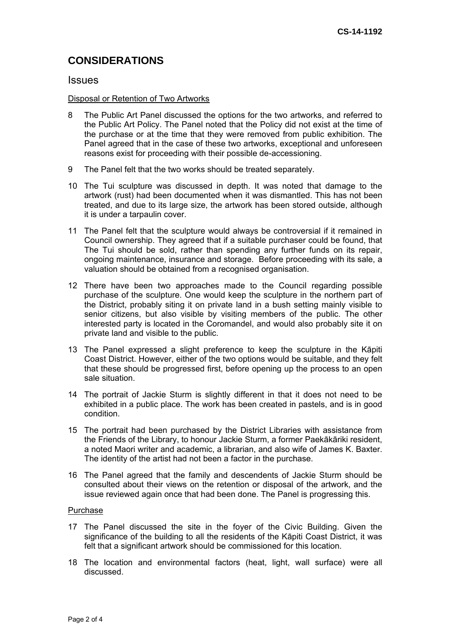# **CONSIDERATIONS**

## **Issues**

#### Disposal or Retention of Two Artworks

- 8 The Public Art Panel discussed the options for the two artworks, and referred to the Public Art Policy. The Panel noted that the Policy did not exist at the time of the purchase or at the time that they were removed from public exhibition. The Panel agreed that in the case of these two artworks, exceptional and unforeseen reasons exist for proceeding with their possible de-accessioning.
- 9 The Panel felt that the two works should be treated separately.
- 10 The Tui sculpture was discussed in depth. It was noted that damage to the artwork (rust) had been documented when it was dismantled. This has not been treated, and due to its large size, the artwork has been stored outside, although it is under a tarpaulin cover.
- 11 The Panel felt that the sculpture would always be controversial if it remained in Council ownership. They agreed that if a suitable purchaser could be found, that The Tui should be sold, rather than spending any further funds on its repair, ongoing maintenance, insurance and storage. Before proceeding with its sale, a valuation should be obtained from a recognised organisation.
- 12 There have been two approaches made to the Council regarding possible purchase of the sculpture. One would keep the sculpture in the northern part of the District, probably siting it on private land in a bush setting mainly visible to senior citizens, but also visible by visiting members of the public. The other interested party is located in the Coromandel, and would also probably site it on private land and visible to the public.
- 13 The Panel expressed a slight preference to keep the sculpture in the Kāpiti Coast District. However, either of the two options would be suitable, and they felt that these should be progressed first, before opening up the process to an open sale situation.
- 14 The portrait of Jackie Sturm is slightly different in that it does not need to be exhibited in a public place. The work has been created in pastels, and is in good condition.
- 15 The portrait had been purchased by the District Libraries with assistance from the Friends of the Library, to honour Jackie Sturm, a former Paekākāriki resident, a noted Maori writer and academic, a librarian, and also wife of James K. Baxter. The identity of the artist had not been a factor in the purchase.
- 16 The Panel agreed that the family and descendents of Jackie Sturm should be consulted about their views on the retention or disposal of the artwork, and the issue reviewed again once that had been done. The Panel is progressing this.

#### **Purchase**

- 17 The Panel discussed the site in the foyer of the Civic Building. Given the significance of the building to all the residents of the Kāpiti Coast District, it was felt that a significant artwork should be commissioned for this location.
- 18 The location and environmental factors (heat, light, wall surface) were all discussed.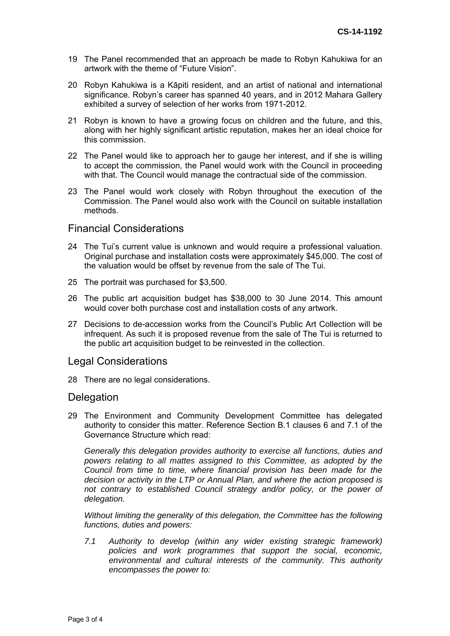- 19 The Panel recommended that an approach be made to Robyn Kahukiwa for an artwork with the theme of "Future Vision".
- 20 Robyn Kahukiwa is a Kāpiti resident, and an artist of national and international significance. Robyn's career has spanned 40 years, and in 2012 Mahara Gallery exhibited a survey of selection of her works from 1971-2012.
- 21 Robyn is known to have a growing focus on children and the future, and this, along with her highly significant artistic reputation, makes her an ideal choice for this commission.
- 22 The Panel would like to approach her to gauge her interest, and if she is willing to accept the commission, the Panel would work with the Council in proceeding with that. The Council would manage the contractual side of the commission.
- 23 The Panel would work closely with Robyn throughout the execution of the Commission. The Panel would also work with the Council on suitable installation methods.

## Financial Considerations

- 24 The Tui's current value is unknown and would require a professional valuation. Original purchase and installation costs were approximately \$45,000. The cost of the valuation would be offset by revenue from the sale of The Tui.
- 25 The portrait was purchased for \$3,500.
- 26 The public art acquisition budget has \$38,000 to 30 June 2014. This amount would cover both purchase cost and installation costs of any artwork.
- 27 Decisions to de-accession works from the Council's Public Art Collection will be infrequent. As such it is proposed revenue from the sale of The Tui is returned to the public art acquisition budget to be reinvested in the collection.

## Legal Considerations

28 There are no legal considerations.

#### **Delegation**

29 The Environment and Community Development Committee has delegated authority to consider this matter. Reference Section B.1 clauses 6 and 7.1 of the Governance Structure which read:

*Generally this delegation provides authority to exercise all functions, duties and powers relating to all mattes assigned to this Committee, as adopted by the Council from time to time, where financial provision has been made for the decision or activity in the LTP or Annual Plan, and where the action proposed is*  not contrary to established Council strategy and/or policy, or the power of *delegation.* 

*Without limiting the generality of this delegation, the Committee has the following functions, duties and powers:* 

*7.1 Authority to develop (within any wider existing strategic framework) policies and work programmes that support the social, economic, environmental and cultural interests of the community. This authority encompasses the power to:*